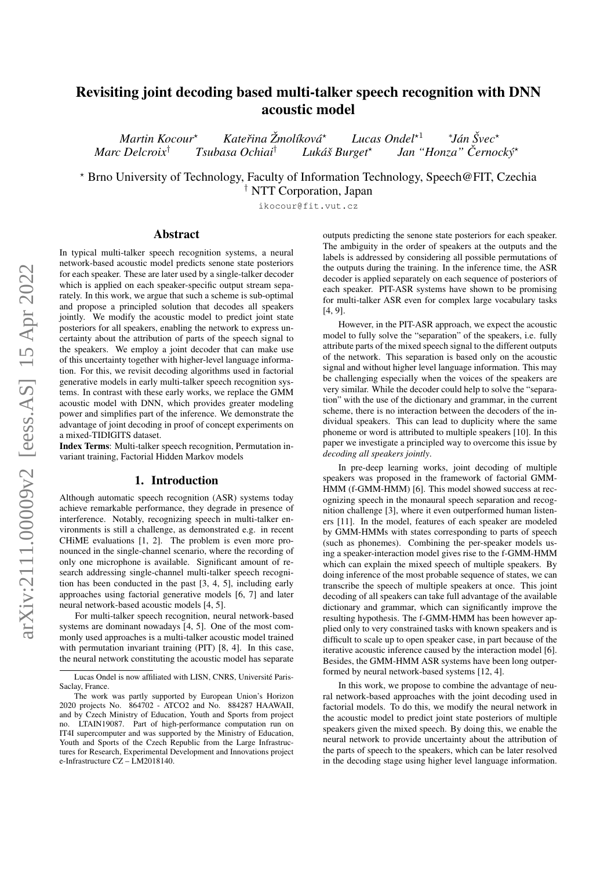# Revisiting joint decoding based multi-talker speech recognition with DNN acoustic model

*Martin Kocour*? *Katerina ˇ Zmol ˇ ´ıkova´ Lucas Ondel*<sup>★1</sup> *Jan´ Svec ˇ* ? *Marc Delcroix*<sup>†</sup> *Tsubasa Ochiai*<sup>†</sup> Lukáš Burget\* *Jan "Honza" Černocký*\*

? Brno University of Technology, Faculty of Information Technology, Speech@FIT, Czechia † NTT Corporation, Japan

ikocour@fit.vut.cz

## Abstract

In typical multi-talker speech recognition systems, a neural network-based acoustic model predicts senone state posteriors for each speaker. These are later used by a single-talker decoder which is applied on each speaker-specific output stream separately. In this work, we argue that such a scheme is sub-optimal and propose a principled solution that decodes all speakers jointly. We modify the acoustic model to predict joint state posteriors for all speakers, enabling the network to express uncertainty about the attribution of parts of the speech signal to the speakers. We employ a joint decoder that can make use of this uncertainty together with higher-level language information. For this, we revisit decoding algorithms used in factorial generative models in early multi-talker speech recognition systems. In contrast with these early works, we replace the GMM acoustic model with DNN, which provides greater modeling power and simplifies part of the inference. We demonstrate the advantage of joint decoding in proof of concept experiments on a mixed-TIDIGITS dataset.

Index Terms: Multi-talker speech recognition, Permutation invariant training, Factorial Hidden Markov models

#### 1. Introduction

Although automatic speech recognition (ASR) systems today achieve remarkable performance, they degrade in presence of interference. Notably, recognizing speech in multi-talker environments is still a challenge, as demonstrated e.g. in recent CHiME evaluations [\[1,](#page-4-0) [2\]](#page-4-1). The problem is even more pronounced in the single-channel scenario, where the recording of only one microphone is available. Significant amount of research addressing single-channel multi-talker speech recognition has been conducted in the past [\[3,](#page-4-2) [4,](#page-4-3) [5\]](#page-4-4), including early approaches using factorial generative models [\[6,](#page-4-5) [7\]](#page-4-6) and later neural network-based acoustic models [\[4,](#page-4-3) [5\]](#page-4-4).

For multi-talker speech recognition, neural network-based systems are dominant nowadays [\[4,](#page-4-3) [5\]](#page-4-4). One of the most commonly used approaches is a multi-talker acoustic model trained with permutation invariant training (PIT) [\[8,](#page-4-7) [4\]](#page-4-3). In this case, the neural network constituting the acoustic model has separate

outputs predicting the senone state posteriors for each speaker. The ambiguity in the order of speakers at the outputs and the labels is addressed by considering all possible permutations of the outputs during the training. In the inference time, the ASR decoder is applied separately on each sequence of posteriors of each speaker. PIT-ASR systems have shown to be promising for multi-talker ASR even for complex large vocabulary tasks [\[4,](#page-4-3) [9\]](#page-4-8).

However, in the PIT-ASR approach, we expect the acoustic model to fully solve the "separation" of the speakers, i.e. fully attribute parts of the mixed speech signal to the different outputs of the network. This separation is based only on the acoustic signal and without higher level language information. This may be challenging especially when the voices of the speakers are very similar. While the decoder could help to solve the "separation" with the use of the dictionary and grammar, in the current scheme, there is no interaction between the decoders of the individual speakers. This can lead to duplicity where the same phoneme or word is attributed to multiple speakers [\[10\]](#page-4-9). In this paper we investigate a principled way to overcome this issue by *decoding all speakers jointly*.

In pre-deep learning works, joint decoding of multiple speakers was proposed in the framework of factorial GMM-HMM (f-GMM-HMM) [\[6\]](#page-4-5). This model showed success at recognizing speech in the monaural speech separation and recognition challenge [\[3\]](#page-4-2), where it even outperformed human listeners [\[11\]](#page-4-10). In the model, features of each speaker are modeled by GMM-HMMs with states corresponding to parts of speech (such as phonemes). Combining the per-speaker models using a speaker-interaction model gives rise to the f-GMM-HMM which can explain the mixed speech of multiple speakers. By doing inference of the most probable sequence of states, we can transcribe the speech of multiple speakers at once. This joint decoding of all speakers can take full advantage of the available dictionary and grammar, which can significantly improve the resulting hypothesis. The f-GMM-HMM has been however applied only to very constrained tasks with known speakers and is difficult to scale up to open speaker case, in part because of the iterative acoustic inference caused by the interaction model [\[6\]](#page-4-5). Besides, the GMM-HMM ASR systems have been long outperformed by neural network-based systems [\[12,](#page-4-11) [4\]](#page-4-3).

In this work, we propose to combine the advantage of neural network-based approaches with the joint decoding used in factorial models. To do this, we modify the neural network in the acoustic model to predict joint state posteriors of multiple speakers given the mixed speech. By doing this, we enable the neural network to provide uncertainty about the attribution of the parts of speech to the speakers, which can be later resolved in the decoding stage using higher level language information.

Lucas Ondel is now affiliated with LISN, CNRS, Université Paris-Saclay, France.

The work was partly supported by European Union's Horizon 2020 projects No. 864702 - ATCO2 and No. 884287 HAAWAII, and by Czech Ministry of Education, Youth and Sports from project no. LTAIN19087. Part of high-performance computation run on IT4I supercomputer and was supported by the Ministry of Education, Youth and Sports of the Czech Republic from the Large Infrastructures for Research, Experimental Development and Innovations project e-Infrastructure CZ – LM2018140.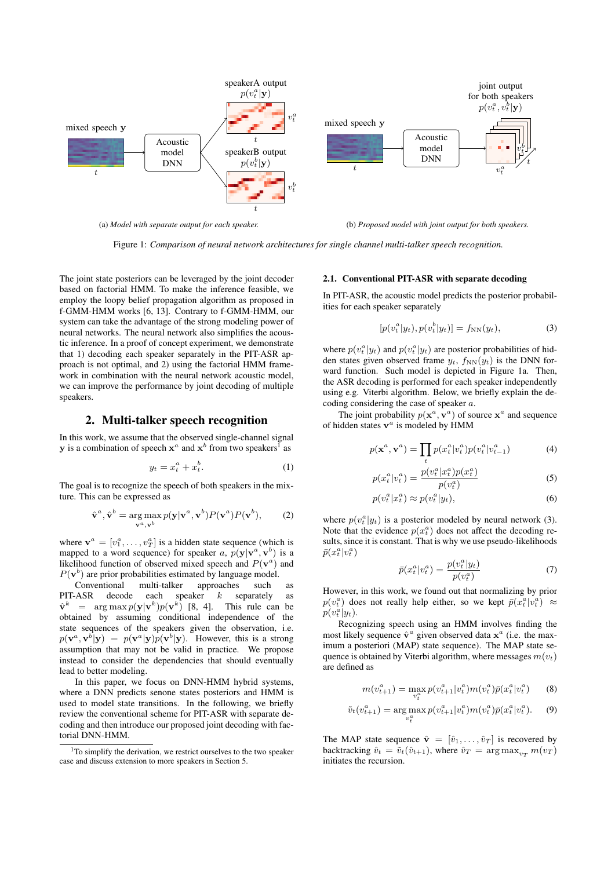<span id="page-1-1"></span>

Figure 1: *Comparison of neural network architectures for single channel multi-talker speech recognition.*

The joint state posteriors can be leveraged by the joint decoder based on factorial HMM. To make the inference feasible, we employ the loopy belief propagation algorithm as proposed in f-GMM-HMM works [\[6,](#page-4-5) [13\]](#page-4-12). Contrary to f-GMM-HMM, our system can take the advantage of the strong modeling power of neural networks. The neural network also simplifies the acoustic inference. In a proof of concept experiment, we demonstrate that 1) decoding each speaker separately in the PIT-ASR approach is not optimal, and 2) using the factorial HMM framework in combination with the neural network acoustic model, we can improve the performance by joint decoding of multiple speakers.

## 2. Multi-talker speech recognition

In this work, we assume that the observed single-channel signal **y** is a combination of speech  $x^a$  and  $x^b$  from two speakers<sup>[1](#page-1-0)</sup> as

$$
y_t = x_t^a + x_t^b. \tag{1}
$$

The goal is to recognize the speech of both speakers in the mixture. This can be expressed as

$$
\hat{\mathbf{v}}^a, \hat{\mathbf{v}}^b = \underset{\mathbf{v}^a, \mathbf{v}^b}{\arg \max} p(\mathbf{y}|\mathbf{v}^a, \mathbf{v}^b) P(\mathbf{v}^a) P(\mathbf{v}^b), \quad (2)
$$

where  $\mathbf{v}^a = [v_1^a, \dots, v_T^a]$  is a hidden state sequence (which is mapped to a word sequence) for speaker a,  $p(y|v^a, v^b)$  is a likelihood function of observed mixed speech and  $P(\mathbf{v}^a)$  and  $P(\mathbf{v}^b)$  are prior probabilities estimated by language model.

Conventional multi-talker approaches such as PIT-ASR decode each speaker  $k$  separately as  $\hat{\mathbf{v}}^k$  = arg max  $p(\mathbf{y}|\mathbf{v}^k)p(\mathbf{v}^k)$  [\[8,](#page-4-7) [4\]](#page-4-3). This rule can be obtained by assuming conditional independence of the state sequences of the speakers given the observation, i.e.  $p(\mathbf{v}^a, \mathbf{v}^b | \mathbf{y}) = p(\mathbf{v}^a | \mathbf{y}) p(\mathbf{v}^b | \mathbf{y})$ . However, this is a strong assumption that may not be valid in practice. We propose instead to consider the dependencies that should eventually lead to better modeling.

In this paper, we focus on DNN-HMM hybrid systems, where a DNN predicts senone states posteriors and HMM is used to model state transitions. In the following, we briefly review the conventional scheme for PIT-ASR with separate decoding and then introduce our proposed joint decoding with factorial DNN-HMM.

## <span id="page-1-3"></span>2.1. Conventional PIT-ASR with separate decoding

In PIT-ASR, the acoustic model predicts the posterior probabilities for each speaker separately

<span id="page-1-2"></span>
$$
[p(v_t^a|y_t), p(v_t^b|y_t)] = f_{NN}(y_t),
$$
\n(3)

where  $p(v_t^a|y_t)$  and  $p(v_t^a|y_t)$  are posterior probabilities of hidden states given observed frame  $y_t$ ,  $f_{NN}(y_t)$  is the DNN forward function. Such model is depicted in Figure [1a.](#page-1-1) Then, the ASR decoding is performed for each speaker independently using e.g. Viterbi algorithm. Below, we briefly explain the decoding considering the case of speaker a.

The joint probability  $p(\mathbf{x}^a, \mathbf{v}^a)$  of source  $\mathbf{x}^a$  and sequence of hidden states  $v^a$  is modeled by HMM

$$
p(\mathbf{x}^a, \mathbf{v}^a) = \prod_t p(x_t^a | v_t^a) p(v_t^a | v_{t-1}^a)
$$
 (4)

$$
p(x_t^a | v_t^a) = \frac{p(v_t^a | x_t^a) p(x_t^a)}{p(v_t^a)}
$$
(5)

$$
p(v_t^a|x_t^a) \approx p(v_t^a|y_t),\tag{6}
$$

where  $p(v_t^a|y_t)$  is a posterior modeled by neural network [\(3\)](#page-1-2). Note that the evidence  $p(x_t^a)$  does not affect the decoding results, since it is constant. That is why we use pseudo-likelihoods  $\bar{p}(x_t^a|v_t^a)$ 

$$
\bar{p}(x_t^a | v_t^a) = \frac{p(v_t^a | y_t)}{p(v_t^a)}\tag{7}
$$

However, in this work, we found out that normalizing by prior  $p(v_t^a)$  does not really help either, so we kept  $\bar{p}(x_t^a|v_t^a) \approx$  $p(v_t^a|y_t)$ .

Recognizing speech using an HMM involves finding the most likely sequence  $\hat{\mathbf{v}}^a$  given observed data  $\mathbf{x}^a$  (i.e. the maximum a posteriori (MAP) state sequence). The MAP state sequence is obtained by Viterbi algorithm, where messages  $m(v_t)$ are defined as

$$
m(v_{t+1}^a) = \max_{v_t^a} p(v_{t+1}^a | v_t^a) m(v_t^a) \bar{p}(x_t^a | v_t^a)
$$
 (8)

$$
\tilde{v}_t(v_{t+1}^a) = \arg\max_{v_t^a} p(v_{t+1}^a | v_t^a) m(v_t^a) \bar{p}(x_t^a | v_t^a). \tag{9}
$$

The MAP state sequence  $\hat{\mathbf{v}} = [\hat{v}_1, \dots, \hat{v}_T]$  is recovered by backtracking  $\hat{v}_t = \tilde{v}_t(\hat{v}_{t+1})$ , where  $\hat{v}_T = \arg \max_{v_T} m(v_T)$ initiates the recursion.

<span id="page-1-0"></span> $1$ To simplify the derivation, we restrict ourselves to the two speaker case and discuss extension to more speakers in Section [5.](#page-3-0)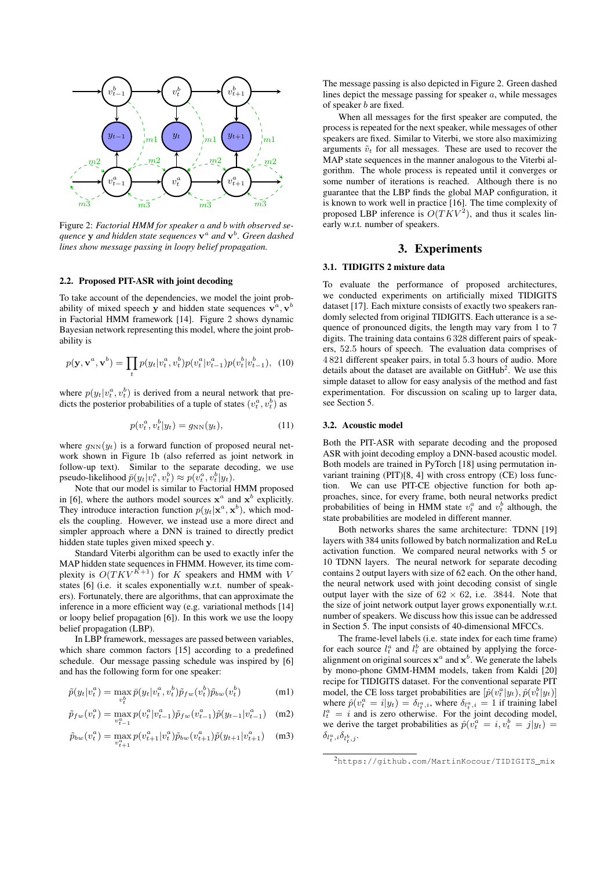<span id="page-2-0"></span>

Figure 2: *Factorial HMM for speaker* a *and* b *with observed sequence* y *and hidden state sequences* v a *and* v b *. Green dashed lines show message passing in loopy belief propagation.*

#### <span id="page-2-2"></span>2.2. Proposed PIT-ASR with joint decoding

To take account of the dependencies, we model the joint probability of mixed speech y and hidden state sequences  $\mathbf{v}^a, \mathbf{v}^b$ in Factorial HMM framework [\[14\]](#page-4-13). Figure [2](#page-2-0) shows dynamic Bayesian network representing this model, where the joint probability is

$$
p(\mathbf{y}, \mathbf{v}^a, \mathbf{v}^b) = \prod_t p(y_t | v_t^a, v_t^b) p(v_t^a | v_{t-1}^a) p(v_t^b | v_{t-1}^b), \tag{10}
$$

where  $p(y_t|v_t^a, v_t^b)$  is derived from a neural network that predicts the posterior probabilities of a tuple of states  $(v_t^a, v_t^b)$  as

$$
p(v_t^a, v_t^b | y_t) = g_{NN}(y_t), \qquad (11)
$$

where  $g_{NN}(y_t)$  is a forward function of proposed neural network shown in Figure [1b](#page-1-1) (also referred as joint network in follow-up text). Similar to the separate decoding, we use pseudo-likelihood  $\bar{p}(y_t|v_t^a, v_t^b) \approx p(\tilde{v}_t^a, v_t^b|y_t)$ .

Note that our model is similar to Factorial HMM proposed in [\[6\]](#page-4-5), where the authors model sources  $x^a$  and  $x^b$  explicitly. They introduce interaction function  $p(y_t|\mathbf{x}^a, \mathbf{x}^b)$ , which models the coupling. However, we instead use a more direct and simpler approach where a DNN is trained to directly predict hidden state tuples given mixed speech y.

Standard Viterbi algorithm can be used to exactly infer the MAP hidden state sequences in FHMM. However, its time complexity is  $O(TKV^{K+1})$  for K speakers and HMM with V states [\[6\]](#page-4-5) (i.e. it scales exponentially w.r.t. number of speakers). Fortunately, there are algorithms, that can approximate the inference in a more efficient way (e.g. variational methods [\[14\]](#page-4-13) or loopy belief propagation [\[6\]](#page-4-5)). In this work we use the loopy belief propagation (LBP).

In LBP framework, messages are passed between variables, which share common factors [\[15\]](#page-4-14) according to a predefined schedule. Our message passing schedule was inspired by [\[6\]](#page-4-5) and has the following form for one speaker:

$$
\tilde{p}(y_t|v_t^a) = \max_{v_t^b} \bar{p}(y_t|v_t^a, v_t^b) \tilde{p}_{fw}(v_t^b) \tilde{p}_{bw}(v_t^b)
$$
\n(m1)

$$
\tilde{p}_{fw}(v_t^a) = \max_{v_{t-1}^a} p(v_t^a | v_{t-1}^a) \tilde{p}_{fw}(v_{t-1}^a) \tilde{p}(y_{t-1} | v_{t-1}^a) \quad (m2)
$$

$$
\tilde{p}_{bw}(v_t^a) = \max_{v_{t+1}^a} p(v_{t+1}^a | v_t^a) \tilde{p}_{bw}(v_{t+1}^a) \tilde{p}(y_{t+1} | v_{t+1}^a) \quad (m3)
$$

The message passing is also depicted in Figure [2.](#page-2-0) Green dashed lines depict the message passing for speaker  $a$ , while messages of speaker b are fixed.

When all messages for the first speaker are computed, the process is repeated for the next speaker, while messages of other speakers are fixed. Similar to Viterbi, we store also maximizing arguments  $\tilde{v}_t$  for all messages. These are used to recover the MAP state sequences in the manner analogous to the Viterbi algorithm. The whole process is repeated until it converges or some number of iterations is reached. Although there is no guarantee that the LBP finds the global MAP configuration, it is known to work well in practice [\[16\]](#page-4-15). The time complexity of proposed LBP inference is  $O(TKV^2)$ , and thus it scales linearly w.r.t. number of speakers.

# 3. Experiments

#### 3.1. TIDIGITS 2 mixture data

To evaluate the performance of proposed architectures, we conducted experiments on artificially mixed TIDIGITS dataset [\[17\]](#page-4-16). Each mixture consists of exactly two speakers randomly selected from original TIDIGITS. Each utterance is a sequence of pronounced digits, the length may vary from 1 to 7 digits. The training data contains 6 328 different pairs of speakers, 52.5 hours of speech. The evaluation data comprises of 4 821 different speaker pairs, in total 5.3 hours of audio. More details about the dataset are available on  $G$ it $H$ ub<sup>[2](#page-2-1)</sup>. We use this simple dataset to allow for easy analysis of the method and fast experimentation. For discussion on scaling up to larger data, see Section [5.](#page-3-0)

#### 3.2. Acoustic model

Both the PIT-ASR with separate decoding and the proposed ASR with joint decoding employ a DNN-based acoustic model. Both models are trained in PyTorch [\[18\]](#page-4-17) using permutation invariant training (PIT)[\[8,](#page-4-7) [4\]](#page-4-3) with cross entropy (CE) loss function. We can use PIT-CE objective function for both approaches, since, for every frame, both neural networks predict probabilities of being in HMM state  $v_t^a$  and  $v_t^b$  although, the state probabilities are modeled in different manner.

Both networks shares the same architecture: TDNN [\[19\]](#page-4-18) layers with 384 units followed by batch normalization and ReLu activation function. We compared neural networks with 5 or 10 TDNN layers. The neural network for separate decoding contains 2 output layers with size of 62 each. On the other hand, the neural network used with joint decoding consist of single output layer with the size of  $62 \times 62$ , i.e. 3844. Note that the size of joint network output layer grows exponentially w.r.t. number of speakers. We discuss how this issue can be addressed in Section [5.](#page-3-0) The input consists of 40-dimensional MFCCs.

The frame-level labels (i.e. state index for each time frame) for each source  $l_t^a$  and  $l_t^b$  are obtained by applying the forcealignment on original sources  $x^a$  and  $x^b$ . We generate the labels by mono-phone GMM-HMM models, taken from Kaldi [\[20\]](#page-4-19) recipe for TIDIGITS dataset. For the conventional separate PIT model, the CE loss target probabilities are  $[\hat{p}(v_t^a|y_t), \hat{p}(v_t^b|y_t)]$ where  $\hat{p}(v_t^a = i|y_t) = \delta_{l_t^a,i}$ , where  $\delta_{l_t^a,i} = 1$  if training label  $l_t^a = i$  and is zero otherwise. For the joint decoding model, we derive the target probabilities as  $\hat{p}(v_t^a = i, v_t^b = j|y_t)$  $\delta_{l^a_t,i}\delta_{l^b_t,j}$ .

<span id="page-2-1"></span><sup>2</sup>[https://github.com/MartinKocour/TIDIGITS\\_mix](https://github.com/MartinKocour/TIDIGITS_mix)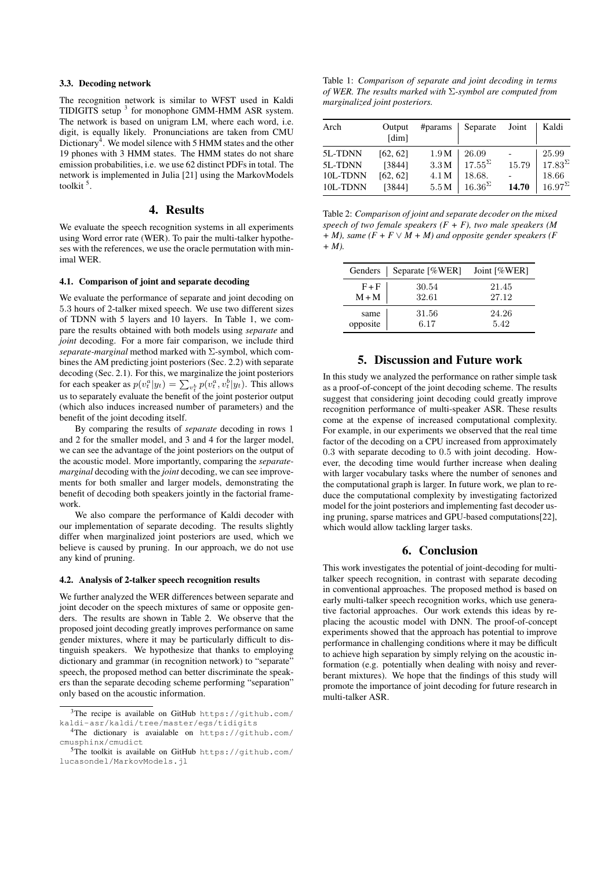#### 3.3. Decoding network

The recognition network is similar to WFST used in Kaldi TIDIGITS setup<sup>[3](#page-3-1)</sup> for monophone GMM-HMM ASR system. The network is based on unigram LM, where each word, i.e. digit, is equally likely. Pronunciations are taken from CMU Dictionary<sup>[4](#page-3-2)</sup>. We model silence with 5 HMM states and the other 19 phones with 3 HMM states. The HMM states do not share emission probabilities, i.e. we use 62 distinct PDFs in total. The network is implemented in Julia [\[21\]](#page-4-20) using the MarkovModels toolkit<sup>[5](#page-3-3)</sup>.

# 4. Results

We evaluate the speech recognition systems in all experiments using Word error rate (WER). To pair the multi-talker hypotheses with the references, we use the oracle permutation with minimal WER.

#### 4.1. Comparison of joint and separate decoding

We evaluate the performance of separate and joint decoding on 5.3 hours of 2-talker mixed speech. We use two different sizes of TDNN with 5 layers and 10 layers. In Table [1,](#page-3-4) we compare the results obtained with both models using *separate* and *joint* decoding. For a more fair comparison, we include third *separate-marginal* method marked with Σ-symbol, which combines the AM predicting joint posteriors (Sec. [2.2\)](#page-2-2) with separate decoding (Sec. [2.1\)](#page-1-3). For this, we marginalize the joint posteriors for each speaker as  $p(v_t^a|y_t) = \sum_{v_t^b} p(v_t^a, v_t^b|y_t)$ . This allows us to separately evaluate the benefit of the joint posterior output (which also induces increased number of parameters) and the benefit of the joint decoding itself.

By comparing the results of *separate* decoding in rows 1 and 2 for the smaller model, and 3 and 4 for the larger model, we can see the advantage of the joint posteriors on the output of the acoustic model. More importantly, comparing the *separatemarginal* decoding with the *joint* decoding, we can see improvements for both smaller and larger models, demonstrating the benefit of decoding both speakers jointly in the factorial framework.

We also compare the performance of Kaldi decoder with our implementation of separate decoding. The results slightly differ when marginalized joint posteriors are used, which we believe is caused by pruning. In our approach, we do not use any kind of pruning.

#### 4.2. Analysis of 2-talker speech recognition results

We further analyzed the WER differences between separate and joint decoder on the speech mixtures of same or opposite genders. The results are shown in Table [2.](#page-3-5) We observe that the proposed joint decoding greatly improves performance on same gender mixtures, where it may be particularly difficult to distinguish speakers. We hypothesize that thanks to employing dictionary and grammar (in recognition network) to "separate" speech, the proposed method can better discriminate the speakers than the separate decoding scheme performing "separation" only based on the acoustic information.

<span id="page-3-4"></span>Table 1: *Comparison of separate and joint decoding in terms of WER. The results marked with* Σ*-symbol are computed from marginalized joint posteriors.*

| Arch     | Output<br>[dim] | #params          | Separate         | Joint | Kaldi            |
|----------|-----------------|------------------|------------------|-------|------------------|
| 5L-TDNN  | [62, 62]        | 1.9M             | 26.09            |       | 25.99            |
| 5L-TDNN  | [3844]          | 3.3M             | $17.55^{\Sigma}$ | 15.79 | $17.83^{\Sigma}$ |
| 10L-TDNN | [62, 62]        | 4.1 <sub>M</sub> | 18.68.           |       | 18.66            |
| 10L-TDNN | [3844]          | 5.5M             | $16.36^{\Sigma}$ | 14.70 | $16.97^{\Sigma}$ |

<span id="page-3-5"></span>Table 2: *Comparison of joint and separate decoder on the mixed speech of two female speakers (F + F), two male speakers (M + M), same (F + F* ∨ *M + M) and opposite gender speakers (F + M).*

| Genders  | Separate [%WER] | Joint [%WER] |
|----------|-----------------|--------------|
| $F + F$  | 30.54           | 21.45        |
| $M+M$    | 32.61           | 27.12        |
| same     | 31.56           | 24.26        |
| opposite | 6.17            | 5.42         |

# 5. Discussion and Future work

<span id="page-3-0"></span>In this study we analyzed the performance on rather simple task as a proof-of-concept of the joint decoding scheme. The results suggest that considering joint decoding could greatly improve recognition performance of multi-speaker ASR. These results come at the expense of increased computational complexity. For example, in our experiments we observed that the real time factor of the decoding on a CPU increased from approximately 0.3 with separate decoding to 0.5 with joint decoding. However, the decoding time would further increase when dealing with larger vocabulary tasks where the number of senones and the computational graph is larger. In future work, we plan to reduce the computational complexity by investigating factorized model for the joint posteriors and implementing fast decoder using pruning, sparse matrices and GPU-based computations[\[22\]](#page-4-21), which would allow tackling larger tasks.

#### 6. Conclusion

This work investigates the potential of joint-decoding for multitalker speech recognition, in contrast with separate decoding in conventional approaches. The proposed method is based on early multi-talker speech recognition works, which use generative factorial approaches. Our work extends this ideas by replacing the acoustic model with DNN. The proof-of-concept experiments showed that the approach has potential to improve performance in challenging conditions where it may be difficult to achieve high separation by simply relying on the acoustic information (e.g. potentially when dealing with noisy and reverberant mixtures). We hope that the findings of this study will promote the importance of joint decoding for future research in multi-talker ASR.

<span id="page-3-1"></span><sup>&</sup>lt;sup>3</sup>The recipe is available on GitHub [https://github.com/](https://github.com/kaldi-asr/kaldi/tree/master/egs/tidigits) [kaldi-asr/kaldi/tree/master/egs/tidigits](https://github.com/kaldi-asr/kaldi/tree/master/egs/tidigits)

<span id="page-3-2"></span><sup>4</sup>The dictionary is avaialable on [https://github.com/](https://github.com/cmusphinx/cmudict) [cmusphinx/cmudict](https://github.com/cmusphinx/cmudict)

<span id="page-3-3"></span><sup>5</sup>The toolkit is available on GitHub [https://github.com/](https://github.com/lucasondel/MarkovModels.jl) [lucasondel/MarkovModels.jl](https://github.com/lucasondel/MarkovModels.jl)